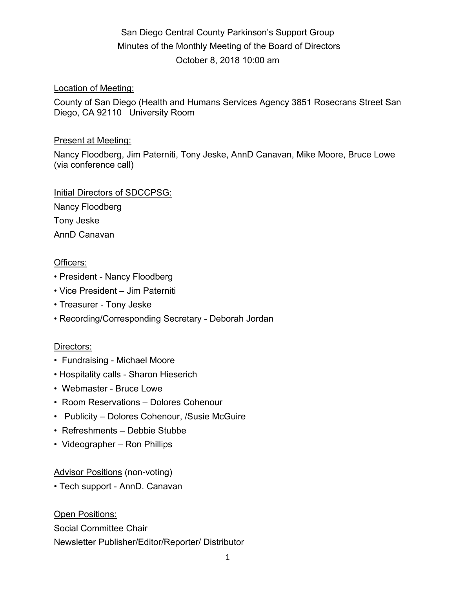# San Diego Central County Parkinson's Support Group Minutes of the Monthly Meeting of the Board of Directors October 8, 2018 10:00 am

#### Location of Meeting:

County of San Diego (Health and Humans Services Agency 3851 Rosecrans Street San Diego, CA 92110 University Room

#### Present at Meeting:

Nancy Floodberg, Jim Paterniti, Tony Jeske, AnnD Canavan, Mike Moore, Bruce Lowe (via conference call)

Initial Directors of SDCCPSG:

Nancy Floodberg Tony Jeske AnnD Canavan

### Officers:

- President Nancy Floodberg
- Vice President Jim Paterniti
- Treasurer Tony Jeske
- Recording/Corresponding Secretary Deborah Jordan

### Directors:

- Fundraising Michael Moore
- Hospitality calls Sharon Hieserich
- Webmaster Bruce Lowe
- Room Reservations Dolores Cohenour
- Publicity Dolores Cohenour, /Susie McGuire
- Refreshments Debbie Stubbe
- Videographer Ron Phillips

### Advisor Positions (non-voting)

• Tech support - AnnD. Canavan

**Open Positions:** Social Committee Chair Newsletter Publisher/Editor/Reporter/ Distributor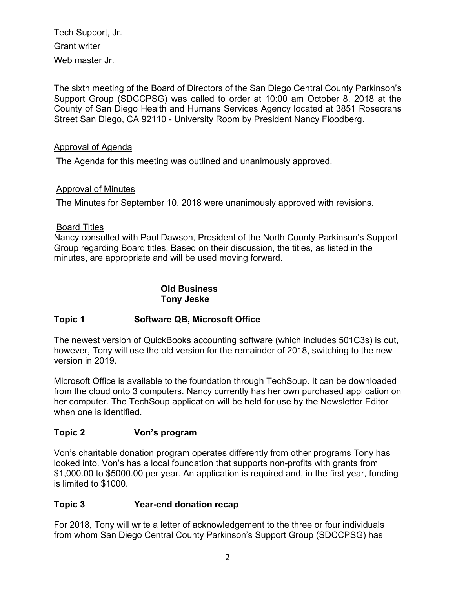Tech Support, Jr. Grant writer Web master Jr.

The sixth meeting of the Board of Directors of the San Diego Central County Parkinson's Support Group (SDCCPSG) was called to order at 10:00 am October 8. 2018 at the County of San Diego Health and Humans Services Agency located at 3851 Rosecrans Street San Diego, CA 92110 - University Room by President Nancy Floodberg.

### Approval of Agenda

The Agenda for this meeting was outlined and unanimously approved.

### Approval of Minutes

The Minutes for September 10, 2018 were unanimously approved with revisions.

### Board Titles

Nancy consulted with Paul Dawson, President of the North County Parkinson's Support Group regarding Board titles. Based on their discussion, the titles, as listed in the minutes, are appropriate and will be used moving forward.

### **Old Business Tony Jeske**

## **Topic 1 Software QB, Microsoft Office**

The newest version of QuickBooks accounting software (which includes 501C3s) is out, however, Tony will use the old version for the remainder of 2018, switching to the new version in 2019.

Microsoft Office is available to the foundation through TechSoup. It can be downloaded from the cloud onto 3 computers. Nancy currently has her own purchased application on her computer. The TechSoup application will be held for use by the Newsletter Editor when one is identified.

## **Topic 2 Von's program**

Von's charitable donation program operates differently from other programs Tony has looked into. Von's has a local foundation that supports non-profits with grants from \$1,000.00 to \$5000.00 per year. An application is required and, in the first year, funding is limited to \$1000.

## **Topic 3 Year-end donation recap**

For 2018, Tony will write a letter of acknowledgement to the three or four individuals from whom San Diego Central County Parkinson's Support Group (SDCCPSG) has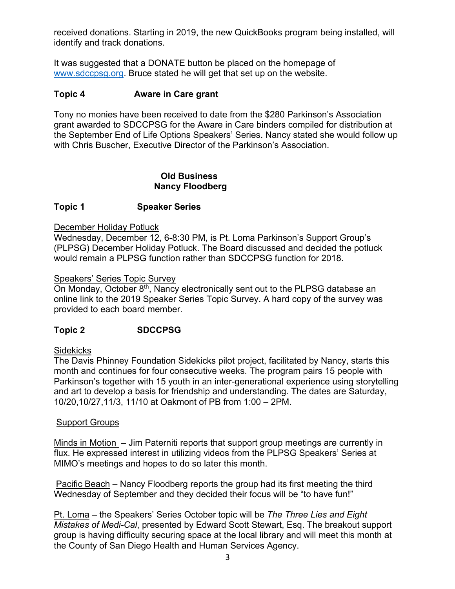received donations. Starting in 2019, the new QuickBooks program being installed, will identify and track donations.

It was suggested that a DONATE button be placed on the homepage of www.sdccpsg.org. Bruce stated he will get that set up on the website.

#### **Topic 4 Aware in Care grant**

Tony no monies have been received to date from the \$280 Parkinson's Association grant awarded to SDCCPSG for the Aware in Care binders compiled for distribution at the September End of Life Options Speakers' Series. Nancy stated she would follow up with Chris Buscher, Executive Director of the Parkinson's Association.

#### **Old Business Nancy Floodberg**

#### **Topic 1 Speaker Series**

#### December Holiday Potluck

Wednesday, December 12, 6-8:30 PM, is Pt. Loma Parkinson's Support Group's (PLPSG) December Holiday Potluck. The Board discussed and decided the potluck would remain a PLPSG function rather than SDCCPSG function for 2018.

#### Speakers' Series Topic Survey

On Monday, October 8<sup>th</sup>, Nancy electronically sent out to the PLPSG database an online link to the 2019 Speaker Series Topic Survey. A hard copy of the survey was provided to each board member.

### **Topic 2 SDCCPSG**

#### **Sidekicks**

The Davis Phinney Foundation Sidekicks pilot project, facilitated by Nancy, starts this month and continues for four consecutive weeks. The program pairs 15 people with Parkinson's together with 15 youth in an inter-generational experience using storytelling and art to develop a basis for friendship and understanding. The dates are Saturday, 10/20,10/27,11/3, 11/10 at Oakmont of PB from 1:00 – 2PM.

#### Support Groups

Minds in Motion – Jim Paterniti reports that support group meetings are currently in flux. He expressed interest in utilizing videos from the PLPSG Speakers' Series at MIMO's meetings and hopes to do so later this month.

Pacific Beach – Nancy Floodberg reports the group had its first meeting the third Wednesday of September and they decided their focus will be "to have fun!"

Pt. Loma – the Speakers' Series October topic will be *The Three Lies and Eight Mistakes of Medi-Cal*, presented by Edward Scott Stewart, Esq. The breakout support group is having difficulty securing space at the local library and will meet this month at the County of San Diego Health and Human Services Agency.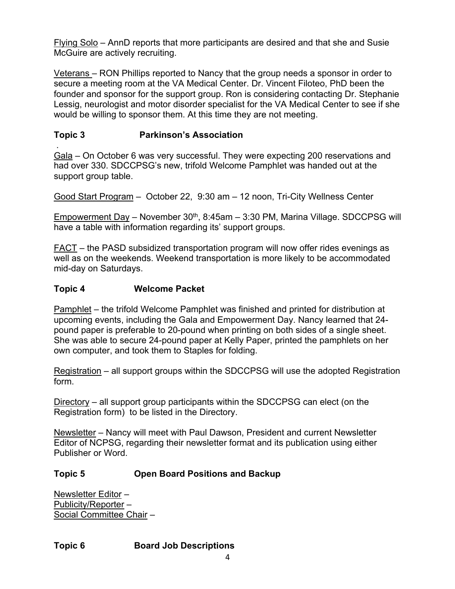Flying Solo – AnnD reports that more participants are desired and that she and Susie McGuire are actively recruiting.

Veterans – RON Phillips reported to Nancy that the group needs a sponsor in order to secure a meeting room at the VA Medical Center. Dr. Vincent Filoteo, PhD been the founder and sponsor for the support group. Ron is considering contacting Dr. Stephanie Lessig, neurologist and motor disorder specialist for the VA Medical Center to see if she would be willing to sponsor them. At this time they are not meeting.

## **Topic 3 Parkinson's Association**

. Gala – On October 6 was very successful. They were expecting 200 reservations and had over 330. SDCCPSG's new, trifold Welcome Pamphlet was handed out at the support group table.

Good Start Program – October 22, 9:30 am – 12 noon, Tri-City Wellness Center

Empowerment Day – November  $30<sup>th</sup>$ , 8:45am – 3:30 PM, Marina Village. SDCCPSG will have a table with information regarding its' support groups.

FACT – the PASD subsidized transportation program will now offer rides evenings as well as on the weekends. Weekend transportation is more likely to be accommodated mid-day on Saturdays.

### **Topic 4 Welcome Packet**

Pamphlet – the trifold Welcome Pamphlet was finished and printed for distribution at upcoming events, including the Gala and Empowerment Day. Nancy learned that 24 pound paper is preferable to 20-pound when printing on both sides of a single sheet. She was able to secure 24-pound paper at Kelly Paper, printed the pamphlets on her own computer, and took them to Staples for folding.

Registration – all support groups within the SDCCPSG will use the adopted Registration form.

Directory – all support group participants within the SDCCPSG can elect (on the Registration form) to be listed in the Directory.

Newsletter – Nancy will meet with Paul Dawson, President and current Newsletter Editor of NCPSG, regarding their newsletter format and its publication using either Publisher or Word.

## **Topic 5 Open Board Positions and Backup**

Newsletter Editor – Publicity/Reporter – Social Committee Chair –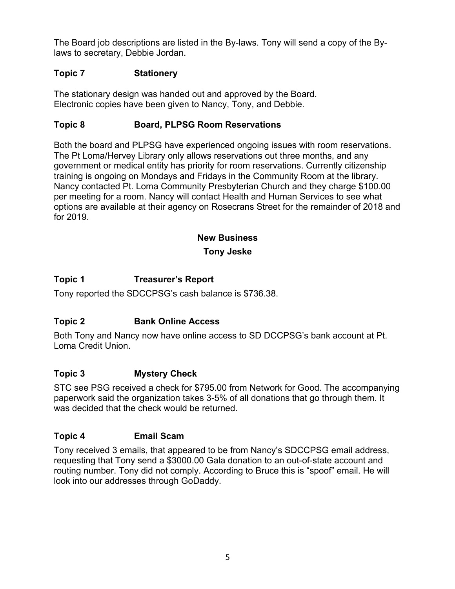The Board job descriptions are listed in the By-laws. Tony will send a copy of the Bylaws to secretary, Debbie Jordan.

### **Topic 7 Stationery**

The stationary design was handed out and approved by the Board. Electronic copies have been given to Nancy, Tony, and Debbie.

### **Topic 8 Board, PLPSG Room Reservations**

Both the board and PLPSG have experienced ongoing issues with room reservations. The Pt Loma/Hervey Library only allows reservations out three months, and any government or medical entity has priority for room reservations. Currently citizenship training is ongoing on Mondays and Fridays in the Community Room at the library. Nancy contacted Pt. Loma Community Presbyterian Church and they charge \$100.00 per meeting for a room. Nancy will contact Health and Human Services to see what options are available at their agency on Rosecrans Street for the remainder of 2018 and for 2019.

## **New Business**

### **Tony Jeske**

### **Topic 1 Treasurer's Report**

Tony reported the SDCCPSG's cash balance is \$736.38.

## **Topic 2 Bank Online Access**

Both Tony and Nancy now have online access to SD DCCPSG's bank account at Pt. Loma Credit Union.

### **Topic 3 Mystery Check**

STC see PSG received a check for \$795.00 from Network for Good. The accompanying paperwork said the organization takes 3-5% of all donations that go through them. It was decided that the check would be returned.

### **Topic 4 Email Scam**

Tony received 3 emails, that appeared to be from Nancy's SDCCPSG email address, requesting that Tony send a \$3000.00 Gala donation to an out-of-state account and routing number. Tony did not comply. According to Bruce this is "spoof" email. He will look into our addresses through GoDaddy.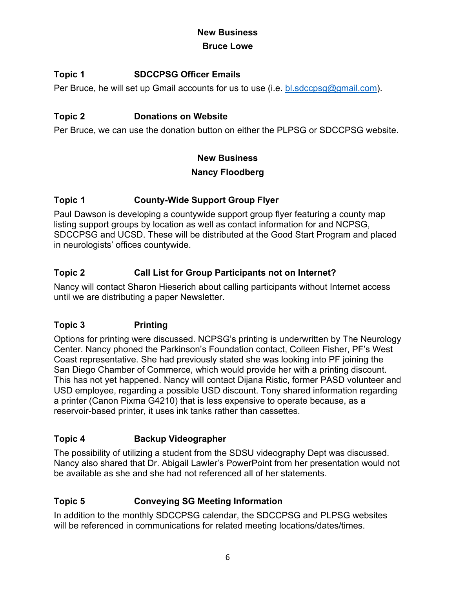### **New Business Bruce Lowe**

## **Topic 1 SDCCPSG Officer Emails**

Per Bruce, he will set up Gmail accounts for us to use (i.e. bl.sdccpsg@gmail.com).

## **Topic 2 Donations on Website**

Per Bruce, we can use the donation button on either the PLPSG or SDCCPSG website.

### **New Business**

## **Nancy Floodberg**

## **Topic 1 County-Wide Support Group Flyer**

Paul Dawson is developing a countywide support group flyer featuring a county map listing support groups by location as well as contact information for and NCPSG, SDCCPSG and UCSD. These will be distributed at the Good Start Program and placed in neurologists' offices countywide.

## **Topic 2 Call List for Group Participants not on Internet?**

Nancy will contact Sharon Hieserich about calling participants without Internet access until we are distributing a paper Newsletter.

## **Topic 3 Printing**

Options for printing were discussed. NCPSG's printing is underwritten by The Neurology Center. Nancy phoned the Parkinson's Foundation contact, Colleen Fisher, PF's West Coast representative. She had previously stated she was looking into PF joining the San Diego Chamber of Commerce, which would provide her with a printing discount. This has not yet happened. Nancy will contact Dijana Ristic, former PASD volunteer and USD employee, regarding a possible USD discount. Tony shared information regarding a printer (Canon Pixma G4210) that is less expensive to operate because, as a reservoir-based printer, it uses ink tanks rather than cassettes.

## **Topic 4 Backup Videographer**

The possibility of utilizing a student from the SDSU videography Dept was discussed. Nancy also shared that Dr. Abigail Lawler's PowerPoint from her presentation would not be available as she and she had not referenced all of her statements.

## **Topic 5 Conveying SG Meeting Information**

In addition to the monthly SDCCPSG calendar, the SDCCPSG and PLPSG websites will be referenced in communications for related meeting locations/dates/times.